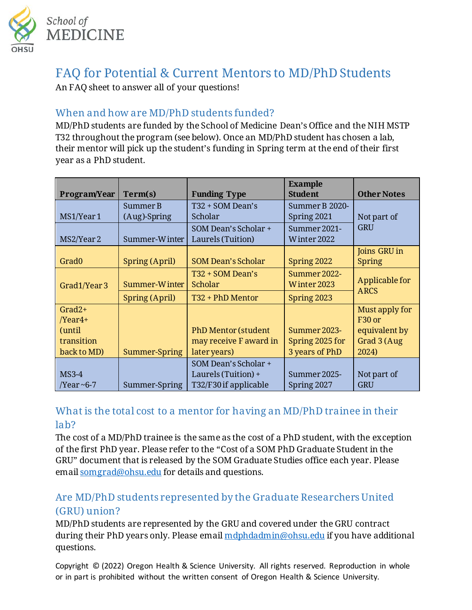

# FAQ for Potential & Current Mentors to MD/PhD Students

An FAQ sheet to answer all of your questions!

#### When and how are MD/PhD students funded?

MD/PhD students are funded by the School of Medicine Dean's Office and the NIH MSTP T32 throughout the program (see below). Once an MD/PhD student has chosen a lab, their mentor will pick up the student's funding in Spring term at the end of their first year as a PhD student.

|                            | Term(s)                  |                                                      | <b>Example</b><br><b>Student</b> | <b>Other Notes</b>                   |
|----------------------------|--------------------------|------------------------------------------------------|----------------------------------|--------------------------------------|
| Program/Year<br>MS1/Year 1 | Summer B<br>(Aug)-Spring | <b>Funding Type</b><br>T32 + SOM Dean's<br>Scholar   | Summer B 2020-<br>Spring 2021    | Not part of                          |
| MS2/Year 2                 | Summer-Winter            | SOM Dean's Scholar +<br>Laurels (Tuition)            | Summer 2021-<br>Winter 2022      | <b>GRU</b>                           |
| Grad <sub>0</sub>          | Spring (April)           | <b>SOM Dean's Scholar</b>                            | Spring 2022                      | Joins GRU in<br><b>Spring</b>        |
| Grad1/Year 3               | Summer-Winter            | T32 + SOM Dean's<br>Scholar                          | Summer 2022-<br>Winter 2023      | Applicable for<br><b>ARCS</b>        |
|                            | Spring (April)           | T32 + PhD Mentor                                     | Spring 2023                      |                                      |
| $Grad2+$<br>$/Year4+$      |                          |                                                      |                                  | Must apply for<br>F <sub>30</sub> or |
| (until<br>transition       |                          | <b>PhD Mentor (student</b><br>may receive F award in | Summer 2023-<br>Spring 2025 for  | equivalent by<br>Grad 3 (Aug         |
| back to MD)                | Summer-Spring            | later years)                                         | 3 years of PhD                   | 2024)                                |
| $MS3-4$                    |                          | SOM Dean's Scholar +<br>Laurels (Tuition) +          | Summer 2025-                     | Not part of                          |
| /Year ~6-7                 | Summer-Spring            | T32/F30 if applicable                                | Spring 2027                      | <b>GRU</b>                           |

# What is the total cost to a mentor for having an MD/PhD trainee in their lab?

The cost of a MD/PhD trainee is the same as the cost of a PhD student, with the exception of the first PhD year. Please refer to the "Cost of a SOM PhD Graduate Student in the GRU" document that is released by the SOM Graduate Studies office each year. Please email [somgrad@ohsu.edu](mailto:somgrad@ohsu.edu) for details and questions.

# Are MD/PhD students represented by the Graduate Researchers United (GRU) union?

MD/PhD students are represented by the GRU and covered under the GRU contract during their PhD years only. Please emai[l mdphdadmin@ohsu.edu](mailto:mdphdadmin@ohsu.edu) if you have additional questions.

Copyright © (2022) Oregon Health & Science University. All rights reserved. Reproduction in whole or in part is prohibited without the written consent of Oregon Health & Science University.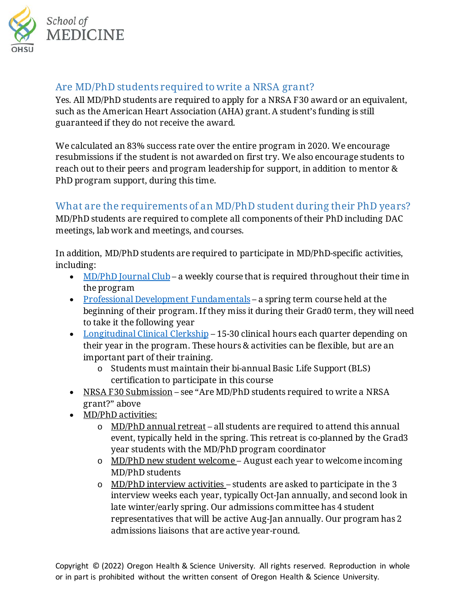

#### Are MD/PhD students required to write a NRSA grant?

Yes. All MD/PhD students are required to apply for a NRSA F30 award or an equivalent, such as the American Heart Association (AHA) grant. A student's funding is still guaranteed if they do not receive the award.

We calculated an 83% success rate over the entire program in 2020. We encourage resubmissions if the student is not awarded on first try. We also encourage students to reach out to their peers and program leadership for support, in addition to mentor & PhD program support, during this time.

# What are the requirements of an MD/PhD student during their PhD years?

MD/PhD students are required to complete all components of their PhD including DAC meetings, lab work and meetings, and courses.

In addition, MD/PhD students are required to participate in MD/PhD-specific activities, including:

- [MD/PhD Journal Club](https://www.ohsu.edu/school-of-medicine/md-phd-program/md-phd-journal-club) a weekly course that is required throughout their time in the program
- [Professional Development Fundamentals](https://www.ohsu.edu/school-of-medicine/md-phd-program/professional-development-fundamentals) a spring term course held at the beginning of their program. If they miss it during their Grad0 term, they will need to take it the following year
- [Longitudinal Clinical Clerkship](https://www.ohsu.edu/school-of-medicine/md-phd-program/longitudinal-clinical-clerkship) 15-30 clinical hours each quarter depending on their year in the program. These hours & activities can be flexible, but are an important part of their training.
	- o Students must maintain their bi-annual Basic Life Support (BLS) certification to participate in this course
- NRSA F30 Submission see "Are MD/PhD students required to write a NRSA grant?" above
- MD/PhD activities:
	- o MD/PhD annual retreat all students are required to attend this annual event, typically held in the spring. This retreat is co-planned by the Grad3 year students with the MD/PhD program coordinator
	- o MD/PhD new student welcome August each year to welcome incoming MD/PhD students
	- o MD/PhD interview activities students are asked to participate in the 3 interview weeks each year, typically Oct-Jan annually, and second look in late winter/early spring. Our admissions committee has 4 student representatives that will be active Aug-Jan annually. Our program has 2 admissions liaisons that are active year-round.